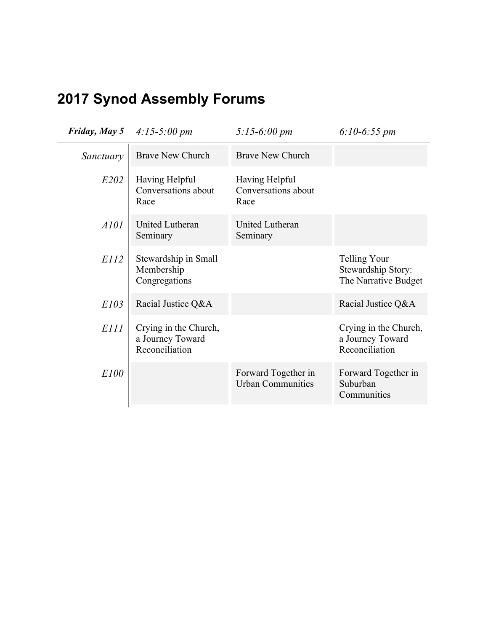# **2017 Synod Assembly Forums**

|             | <b>Friday, May 5</b> $4:15-5:00 \text{ pm}$                 | $5:15-6:00 \; pm$                               | $6:10-6:55$ pm                                              |
|-------------|-------------------------------------------------------------|-------------------------------------------------|-------------------------------------------------------------|
| Sanctuary   | <b>Brave New Church</b>                                     | <b>Brave New Church</b>                         |                                                             |
| E202        | Having Helpful<br>Conversations about<br>Race               | Having Helpful<br>Conversations about<br>Race   |                                                             |
| A101        | United Lutheran<br>Seminary                                 | United Lutheran<br>Seminary                     |                                                             |
| E112        | Stewardship in Small<br>Membership<br>Congregations         |                                                 | Telling Your<br>Stewardship Story:<br>The Narrative Budget  |
| E103        | Racial Justice Q&A                                          |                                                 | Racial Justice Q&A                                          |
| <i>E111</i> | Crying in the Church,<br>a Journey Toward<br>Reconciliation |                                                 | Crying in the Church,<br>a Journey Toward<br>Reconciliation |
| E100        |                                                             | Forward Together in<br><b>Urban Communities</b> | Forward Together in<br>Suburban<br>Communities              |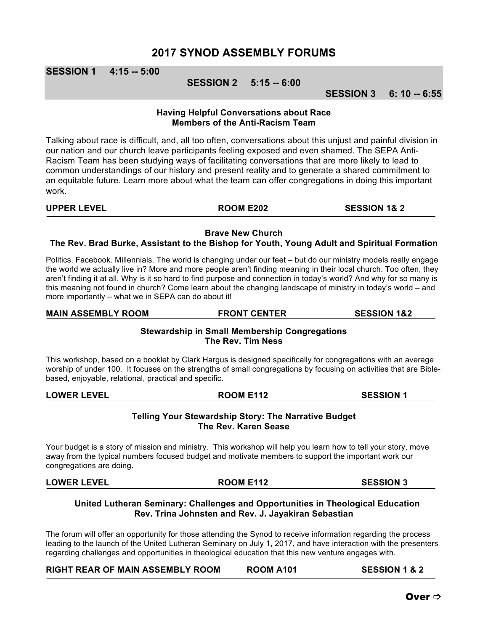## **2017 SYNOD ASSEMBLY FORUMS**

**SESSION 1 4:15 -- 5:00**

#### **SESSION 2 5:15 -- 6:00**

#### **SESSION 3 6: 10 -- 6:55**

#### **Having Helpful Conversations about Race Members of the Anti-Racism Team**

Talking about race is difficult, and, all too often, conversations about this unjust and painful division in our nation and our church leave participants feeling exposed and even shamed. The SEPA Anti-Racism Team has been studying ways of facilitating conversations that are more likely to lead to common understandings of our history and present reality and to generate a shared commitment to an equitable future. Learn more about what the team can offer congregations in doing this important work.

| <b>UPPER LEVEL</b> | <b>ROOM E202</b> | <b>SESSION 1&amp; 2</b> |
|--------------------|------------------|-------------------------|
|                    |                  |                         |

**Brave New Church**

#### **The Rev. Brad Burke, Assistant to the Bishop for Youth, Young Adult and Spiritual Formation**

Politics. Facebook. Millennials. The world is changing under our feet – but do our ministry models really engage the world we actually live in? More and more people aren't finding meaning in their local church. Too often, they aren't finding it at all. Why is it so hard to find purpose and connection in today's world? And why for so many is this meaning not found in church? Come learn about the changing landscape of ministry in today's world – and more importantly – what we in SEPA can do about it!

| <b>MAIN ASSEMBLY ROOM</b> | <b>FRONT CENTER</b> | <b>SESSION 1&amp;2</b> |
|---------------------------|---------------------|------------------------|
|                           |                     |                        |

#### **Stewardship in Small Membership Congregations The Rev. Tim Ness**

This workshop, based on a booklet by Clark Hargus is designed specifically for congregations with an average worship of under 100. It focuses on the strengths of small congregations by focusing on activities that are Biblebased, enjoyable, relational, practical and specific.

| <b>LOWER LEVEL</b> | <b>ROOM E112</b> | <b>SESSION</b> |
|--------------------|------------------|----------------|
|                    |                  |                |

#### **Telling Your Stewardship Story: The Narrative Budget The Rev. Karen Sease**

Your budget is a story of mission and ministry. This workshop will help you learn how to tell your story, move away from the typical numbers focused budget and motivate members to support the important work our congregations are doing.

**LOWER LEVEL ROOM E112 SESSION 3**

#### **United Lutheran Seminary: Challenges and Opportunities in Theological Education Rev. Trina Johnsten and Rev. J. Jayakiran Sebastian**

The forum will offer an opportunity for those attending the Synod to receive information regarding the process leading to the launch of the United Lutheran Seminary on July 1, 2017, and have interaction with the presenters regarding challenges and opportunities in theological education that this new venture engages with.

| <b>RIGHT REAR OF MAIN ASSEMBLY ROOM</b> | <b>ROOM A101</b> | <b>SESSION 1 &amp; 2</b> |
|-----------------------------------------|------------------|--------------------------|
|-----------------------------------------|------------------|--------------------------|